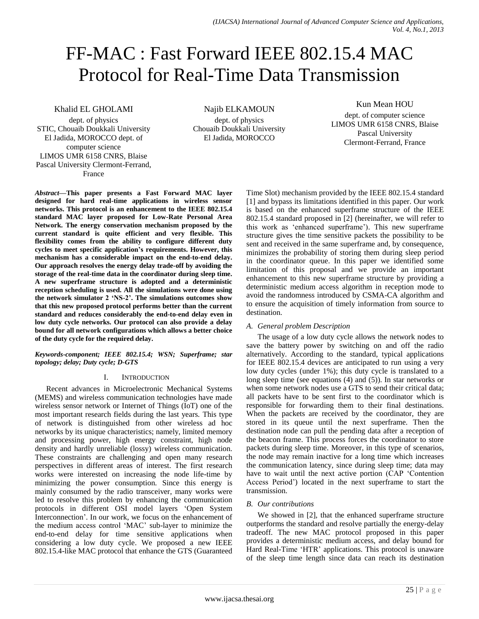# FF-MAC : Fast Forward IEEE 802.15.4 MAC Protocol for Real-Time Data Transmission

Khalid EL GHOLAMI

dept. of physics STIC, Chouaib Doukkali University El Jadida, MOROCCO dept. of computer science LIMOS UMR 6158 CNRS, Blaise Pascal University Clermont-Ferrand, France

Najib ELKAMOUN dept. of physics Chouaib Doukkali University

El Jadida, MOROCCO

Kun Mean HOU

dept. of computer science LIMOS UMR 6158 CNRS, Blaise Pascal University Clermont-Ferrand, France

*Abstract***—This paper presents a Fast Forward MAC layer designed for hard real-time applications in wireless sensor networks. This protocol is an enhancement to the IEEE 802.15.4 standard MAC layer proposed for Low-Rate Personal Area Network. The energy conservation mechanism proposed by the current standard is quite efficient and very flexible. This flexibility comes from the ability to configure different duty cycles to meet specific application's requirements. However, this mechanism has a considerable impact on the end-to-end delay. Our approach resolves the energy delay trade-off by avoiding the storage of the real-time data in the coordinator during sleep time. A new superframe structure is adopted and a deterministic reception scheduling is used. All the simulations were done using the network simulator 2 'NS-2'. The simulations outcomes show that this new proposed protocol performs better than the current standard and reduces considerably the end-to-end delay even in low duty cycle networks. Our protocol can also provide a delay bound for all network configurations which allows a better choice of the duty cycle for the required delay.**

*Keywords-component; IEEE 802.15.4; WSN; Superframe; star topology; delay; Duty cycle; D-GTS*

# I. INTRODUCTION

Recent advances in Microelectronic Mechanical Systems (MEMS) and wireless communication technologies have made wireless sensor network or Internet of Things (IoT) one of the most important research fields during the last years. This type of network is distinguished from other wireless ad hoc networks by its unique characteristics; namely, limited memory and processing power, high energy constraint, high node density and hardly unreliable (lossy) wireless communication. These constraints are challenging and open many research perspectives in different areas of interest. The first research works were interested on increasing the node life-time by minimizing the power consumption. Since this energy is mainly consumed by the radio transceiver, many works were led to resolve this problem by enhancing the communication protocols in different OSI model layers 'Open System Interconnection'. In our work, we focus on the enhancement of the medium access control 'MAC' sub-layer to minimize the end-to-end delay for time sensitive applications when considering a low duty cycle. We proposed a new IEEE 802.15.4-like MAC protocol that enhance the GTS (Guaranteed

Time Slot) mechanism provided by the IEEE 802.15.4 standard [1] and bypass its limitations identified in this paper. Our work is based on the enhanced superframe structure of the IEEE 802.15.4 standard proposed in [2] (hereinafter, we will refer to this work as 'enhanced superframe'). This new superframe structure gives the time sensitive packets the possibility to be sent and received in the same superframe and, by consequence, minimizes the probability of storing them during sleep period in the coordinator queue. In this paper we identified some limitation of this proposal and we provide an important enhancement to this new superframe structure by providing a deterministic medium access algorithm in reception mode to avoid the randomness introduced by CSMA-CA algorithm and to ensure the acquisition of timely information from source to destination.

# *A. General problem Description*

The usage of a low duty cycle allows the network nodes to save the battery power by switching on and off the radio alternatively. According to the standard, typical applications for IEEE 802.15.4 devices are anticipated to run using a very low duty cycles (under 1%); this duty cycle is translated to a long sleep time (see equations (4) and (5)). In star networks or when some network nodes use a GTS to send their critical data; all packets have to be sent first to the coordinator which is responsible for forwarding them to their final destinations. When the packets are received by the coordinator, they are stored in its queue until the next superframe. Then the destination node can pull the pending data after a reception of the beacon frame. This process forces the coordinator to store packets during sleep time. Moreover, in this type of scenarios, the node may remain inactive for a long time which increases the communication latency, since during sleep time; data may have to wait until the next active portion (CAP 'Contention Access Period') located in the next superframe to start the transmission.

# *B. Our contributions*

We showed in [2], that the enhanced superframe structure outperforms the standard and resolve partially the energy-delay tradeoff. The new MAC protocol proposed in this paper provides a deterministic medium access, and delay bound for Hard Real-Time 'HTR' applications. This protocol is unaware of the sleep time length since data can reach its destination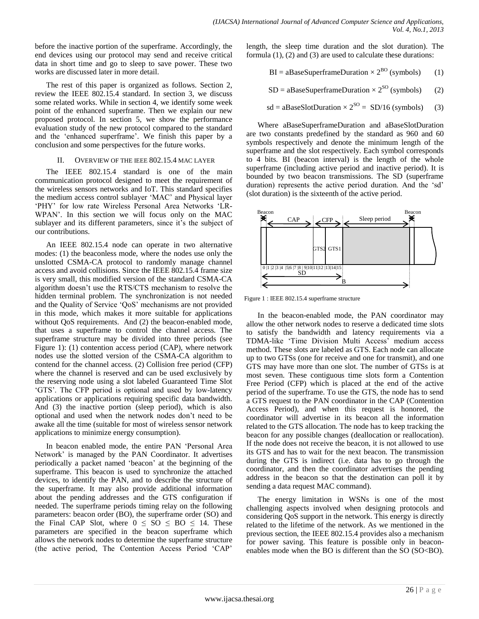before the inactive portion of the superframe. Accordingly, the end devices using our protocol may send and receive critical data in short time and go to sleep to save power. These two works are discussed later in more detail.

The rest of this paper is organized as follows. Section 2, review the IEEE 802.15.4 standard. In section 3, we discuss some related works. While in section 4, we identify some week point of the enhanced superframe. Then we explain our new proposed protocol. In section 5, we show the performance evaluation study of the new protocol compared to the standard and the 'enhanced superframe'. We finish this paper by a conclusion and some perspectives for the future works.

### II. OVERVIEW OF THE IEEE 802.15.4 MAC LAYER

The IEEE 802.15.4 standard is one of the main communication protocol designed to meet the requirement of the wireless sensors networks and IoT. This standard specifies the medium access control sublayer 'MAC' and Physical layer 'PHY' for low rate Wireless Personal Area Networks 'LR-WPAN'. In this section we will focus only on the MAC sublayer and its different parameters, since it's the subject of our contributions.

An IEEE 802.15.4 node can operate in two alternative modes: (1) the beaconless mode, where the nodes use only the unslotted CSMA-CA protocol to randomly manage channel access and avoid collisions. Since the IEEE 802.15.4 frame size is very small, this modified version of the standard CSMA-CA algorithm doesn't use the RTS/CTS mechanism to resolve the hidden terminal problem. The synchronization is not needed and the Quality of Service 'QoS' mechanisms are not provided in this mode, which makes it more suitable for applications without QoS requirements. And (2) the beacon-enabled mode, that uses a superframe to control the channel access. The superframe structure may be divided into three periods (see [Figure 1\)](#page-1-0): (1) contention access period (CAP), where network nodes use the slotted version of the CSMA-CA algorithm to contend for the channel access. (2) Collision free period (CFP) where the channel is reserved and can be used exclusively by the reserving node using a slot labeled Guaranteed Time Slot 'GTS'. The CFP period is optional and used by low-latency applications or applications requiring specific data bandwidth. And (3) the inactive portion (sleep period), which is also optional and used when the network nodes don't need to be awake all the time (suitable for most of wireless sensor network applications to minimize energy consumption).

In beacon enabled mode, the entire PAN 'Personal Area Network' is managed by the PAN Coordinator. It advertises periodically a packet named 'beacon' at the beginning of the superframe. This beacon is used to synchronize the attached devices, to identify the PAN, and to describe the structure of the superframe. It may also provide additional information about the pending addresses and the GTS configuration if needed. The superframe periods timing relay on the following parameters: beacon order (BO), the superframe order (SO) and the Final CAP Slot, where  $0 \leq SO \leq BO \leq 14$ . These parameters are specified in the beacon superframe which allows the network nodes to determine the superframe structure (the active period, The Contention Access Period 'CAP' length, the sleep time duration and the slot duration). The formula (1), (2) and (3) are used to calculate these durations:

$$
BI = aBaseSuperframeDuration \times 2^{BO} (symbols) \qquad (1)
$$

$$
SD = aBaseSuperframeDuration \times 2^{SO} (symbols)
$$
 (2)

$$
sd = aBaseSlotDuration \times 2^{SO} = SD/16 \text{ (symbols)} \tag{3}
$$

Where aBaseSuperframeDuration and aBaseSlotDuration are two constants predefined by the standard as 960 and 60 symbols respectively and denote the minimum length of the superframe and the slot respectively. Each symbol corresponds to 4 bits. BI (beacon interval) is the length of the whole superframe (including active period and inactive period). It is bounded by two beacon transmissions. The SD (superframe duration) represents the active period duration. And the 'sd' (slot duration) is the sixteenth of the active period.



<span id="page-1-0"></span> $\frac{1}{16}$  FIEE 802.15.4 superframe structure Figure 1 : IEEE 802.15.4 superframe structure

In the beacon-enabled mode, the PAN coordinator may allow the other network nodes to reserve a dedicated time slots to satisfy the bandwidth and latency requirements via a TDMA-like 'Time Division Multi Access' medium access method. These slots are labeled as GTS. Each node can allocate up to two GTSs (one for receive and one for transmit), and one GTS may have more than one slot. The number of GTSs is at most seven. These contiguous time slots form a Contention Free Period (CFP) which is placed at the end of the active period of the superframe. To use the GTS, the node has to send a GTS request to the PAN coordinator in the CAP (Contention Access Period), and when this request is honored, the coordinator will advertise in its beacon all the information related to the GTS allocation. The node has to keep tracking the beacon for any possible changes (deallocation or reallocation). If the node does not receive the beacon, it is not allowed to use its GTS and has to wait for the next beacon. The transmission during the GTS is indirect (i.e. data has to go through the coordinator, and then the coordinator advertises the pending address in the beacon so that the destination can poll it by sending a data request MAC command).

The energy limitation in WSNs is one of the most challenging aspects involved when designing protocols and considering QoS support in the network. This energy is directly related to the lifetime of the network. As we mentioned in the previous section, the IEEE 802.15.4 provides also a mechanism for power saving. This feature is possible only in beaconenables mode when the BO is different than the SO (SO<BO).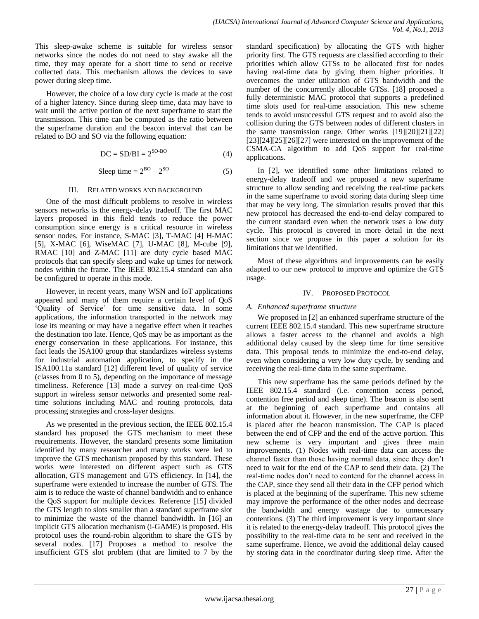This sleep-awake scheme is suitable for wireless sensor networks since the nodes do not need to stay awake all the time, they may operate for a short time to send or receive collected data. This mechanism allows the devices to save power during sleep time.

However, the choice of a low duty cycle is made at the cost of a higher latency. Since during sleep time, data may have to wait until the active portion of the next superframe to start the transmission. This time can be computed as the ratio between the superframe duration and the beacon interval that can be related to BO and SO via the following equation:

$$
DC = SD/BI = 2^{SO-BO} \tag{4}
$$

Sleep time  $= 2^{BO} - 2$  $(5)$ 

#### III. RELATED WORKS AND BACKGROUND

One of the most difficult problems to resolve in wireless sensors networks is the energy-delay tradeoff. The first MAC layers proposed in this field tends to reduce the power consumption since energy is a critical resource in wireless sensor nodes. For instance, S-MAC [3], T-MAC [4] H-MAC [5], X-MAC [6], WiseMAC [7], U-MAC [8], M-cube [9], RMAC [10] and Z-MAC [11] are duty cycle based MAC protocols that can specify sleep and wake up times for network nodes within the frame. The IEEE 802.15.4 standard can also be configured to operate in this mode.

However, in recent years, many WSN and IoT applications appeared and many of them require a certain level of QoS 'Quality of Service' for time sensitive data. In some applications, the information transported in the network may lose its meaning or may have a negative effect when it reaches the destination too late. Hence, QoS may be as important as the energy conservation in these applications. For instance, this fact leads the ISA100 group that standardizes wireless systems for industrial automation application, to specify in the ISA100.11a standard [12] different level of quality of service (classes from 0 to 5), depending on the importance of message timeliness. Reference [13] made a survey on real-time QoS support in wireless sensor networks and presented some realtime solutions including MAC and routing protocols, data processing strategies and cross-layer designs.

As we presented in the previous section, the IEEE 802.15.4 standard has proposed the GTS mechanism to meet these requirements. However, the standard presents some limitation identified by many researcher and many works were led to improve the GTS mechanism proposed by this standard. These works were interested on different aspect such as GTS allocation, GTS management and GTS efficiency. In [14], the superframe were extended to increase the number of GTS. The aim is to reduce the waste of channel bandwidth and to enhance the QoS support for multiple devices. Reference [15] divided the GTS length to slots smaller than a standard superframe slot to minimize the waste of the channel bandwidth. In [16] an implicit GTS allocation mechanism (i-GAME) is proposed. His protocol uses the round-robin algorithm to share the GTS by several nodes. [17] Proposes a method to resolve the insufficient GTS slot problem (that are limited to 7 by the

standard specification) by allocating the GTS with higher priority first. The GTS requests are classified according to their priorities which allow GTSs to be allocated first for nodes having real-time data by giving them higher priorities. It overcomes the under utilization of GTS bandwidth and the number of the concurrently allocable GTSs. [18] proposed a fully deterministic MAC protocol that supports a predefined time slots used for real-time association. This new scheme tends to avoid unsuccessful GTS request and to avoid also the collision during the GTS between nodes of different clusters in the same transmission range. Other works [19][20][21][22]  $[23][24][25][26][27]$  were interested on the improvement of the CSMA-CA algorithm to add QoS support for real-time applications.

In [2], we identified some other limitations related to energy-delay tradeoff and we proposed a new superframe structure to allow sending and receiving the real-time packets in the same superframe to avoid storing data during sleep time that may be very long. The simulation results proved that this new protocol has decreased the end-to-end delay compared to the current standard even when the network uses a low duty cycle. This protocol is covered in more detail in the next section since we propose in this paper a solution for its limitations that we identified.

Most of these algorithms and improvements can be easily adapted to our new protocol to improve and optimize the GTS usage.

### IV. PROPOSED PROTOCOL

## *A. Enhanced superframe structure*

We proposed in [2] an enhanced superframe structure of the current IEEE 802.15.4 standard. This new superframe structure allows a faster access to the channel and avoids a high additional delay caused by the sleep time for time sensitive data. This proposal tends to minimize the end-to-end delay, even when considering a very low duty cycle, by sending and receiving the real-time data in the same superframe.

This new superframe has the same periods defined by the IEEE 802.15.4 standard (i.e. contention access period, contention free period and sleep time). The beacon is also sent at the beginning of each superframe and contains all information about it. However, in the new superframe, the CFP is placed after the beacon transmission. The CAP is placed between the end of CFP and the end of the active portion. This new scheme is very important and gives three main improvements. (1) Nodes with real-time data can access the channel faster than those having normal data, since they don't need to wait for the end of the CAP to send their data. (2) The real-time nodes don't need to contend for the channel access in the CAP, since they send all their data in the CFP period which is placed at the beginning of the superframe. This new scheme may improve the performance of the other nodes and decrease the bandwidth and energy wastage due to unnecessary contentions. (3) The third improvement is very important since it is related to the energy-delay tradeoff. This protocol gives the possibility to the real-time data to be sent and received in the same superframe. Hence, we avoid the additional delay caused by storing data in the coordinator during sleep time. After the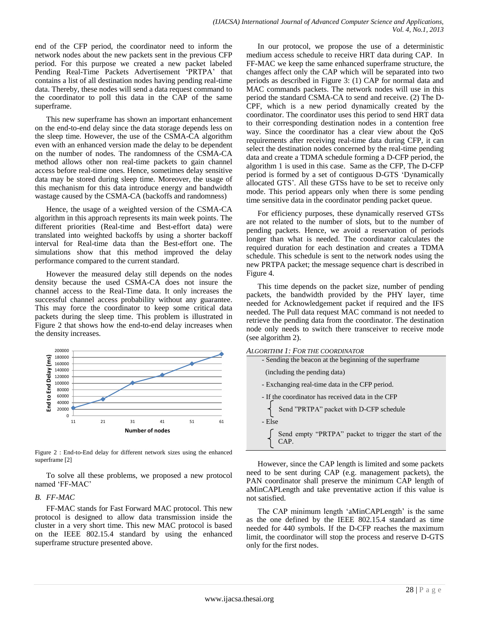end of the CFP period, the coordinator need to inform the network nodes about the new packets sent in the previous CFP period. For this purpose we created a new packet labeled Pending Real-Time Packets Advertisement 'PRTPA' that contains a list of all destination nodes having pending real-time data. Thereby, these nodes will send a data request command to the coordinator to poll this data in the CAP of the same superframe.

This new superframe has shown an important enhancement on the end-to-end delay since the data storage depends less on the sleep time. However, the use of the CSMA-CA algorithm even with an enhanced version made the delay to be dependent on the number of nodes. The randomness of the CSMA-CA method allows other non real-time packets to gain channel access before real-time ones. Hence, sometimes delay sensitive data may be stored during sleep time. Moreover, the usage of this mechanism for this data introduce energy and bandwidth wastage caused by the CSMA-CA (backoffs and randomness)

Hence, the usage of a weighted version of the CSMA-CA algorithm in this approach represents its main week points. The different priorities (Real-time and Best-effort data) were translated into weighted backoffs by using a shorter backoff interval for Real-time data than the Best-effort one. The simulations show that this method improved the delay performance compared to the current standard.

However the measured delay still depends on the nodes density because the used CSMA-CA does not insure the channel access to the Real-Time data. It only increases the successful channel access probability without any guarantee. This may force the coordinator to keep some critical data packets during the sleep time. This problem is illustrated in [Figure 2](#page-3-0) that shows how the end-to-end delay increases when the density increases.



<span id="page-3-0"></span>Figure 2 : End-to-End delay for different network sizes using the enhanced superframe [2]

To solve all these problems, we proposed a new protocol named 'FF-MAC'

## *B. FF-MAC*

FF-MAC stands for Fast Forward MAC protocol. This new protocol is designed to allow data transmission inside the cluster in a very short time. This new MAC protocol is based on the IEEE 802.15.4 standard by using the enhanced superframe structure presented above.

In our protocol, we propose the use of a deterministic medium access schedule to receive HRT data during CAP. In FF-MAC we keep the same enhanced superframe structure, the changes affect only the CAP which will be separated into two periods as described in [Figure 3:](#page-4-0) (1) CAP for normal data and MAC commands packets. The network nodes will use in this period the standard CSMA-CA to send and receive. (2) The D-CPF, which is a new period dynamically created by the coordinator. The coordinator uses this period to send HRT data to their corresponding destination nodes in a contention free way. Since the coordinator has a clear view about the QoS requirements after receiving real-time data during CFP, it can select the destination nodes concerned by the real-time pending data and create a TDMA schedule forming a D-CFP period, the algorithm 1 is used in this case. Same as the CFP, The D-CFP period is formed by a set of contiguous D-GTS 'Dynamically allocated GTS'. All these GTSs have to be set to receive only mode. This period appears only when there is some pending time sensitive data in the coordinator pending packet queue.

For efficiency purposes, these dynamically reserved GTSs are not related to the number of slots, but to the number of pending packets. Hence, we avoid a reservation of periods longer than what is needed. The coordinator calculates the required duration for each destination and creates a TDMA schedule. This schedule is sent to the network nodes using the new PRTPA packet; the message sequence chart is described in [Figure 4.](#page-4-1)

This time depends on the packet size, number of pending packets, the bandwidth provided by the PHY layer, time needed for Acknowledgement packet if required and the IFS needed. The Pull data request MAC command is not needed to retrieve the pending data from the coordinator. The destination node only needs to switch there transceiver to receive mode (see algorithm 2).

*ALGORITHM 1: FOR THE COORDINATOR*

- Sending the beacon at the beginning of the superframe
- (including the pending data)
- Exchanging real-time data in the CFP period.
- If the coordinator has received data in the CFP
- Send "PRTPA" packet with D-CFP schedule
- Else

Send empty "PRTPA" packet to trigger the start of the CAP.

However, since the CAP length is limited and some packets need to be sent during CAP (e.g. management packets), the PAN coordinator shall preserve the minimum CAP length of aMinCAPLength and take preventative action if this value is not satisfied.

The CAP minimum length 'aMinCAPLength' is the same as the one defined by the IEEE 802.15.4 standard as time needed for 440 symbols. If the D-CFP reaches the maximum limit, the coordinator will stop the process and reserve D-GTS only for the first nodes.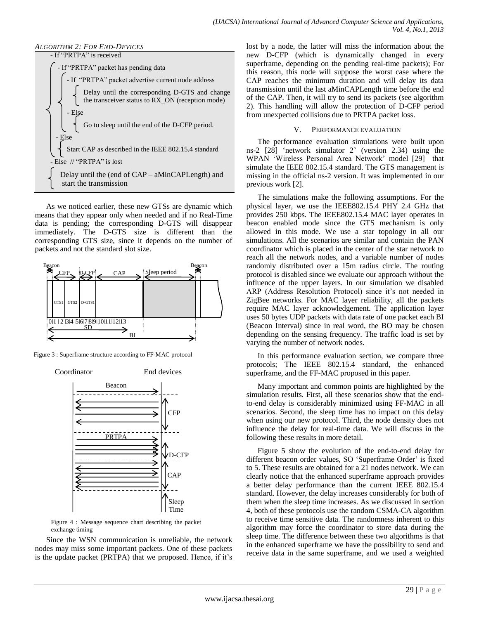### *ALGORITHM 2: FOR END-DEVICES*



As we noticed earlier, these new GTSs are dynamic which means that they appear only when needed and if no Real-Time data is pending; the corresponding D-GTS will disappear immediately. The D-GTS size is different than the corresponding GTS size, since it depends on the number of packets and not the standard slot size.



<span id="page-4-0"></span>Figure 3 : Superframe structure according to FF-MAC protocol



<span id="page-4-1"></span>Figure 4 : Message sequence chart describing the packet exchange timing

Since the WSN communication is unreliable, the network nodes may miss some important packets. One of these packets is the update packet (PRTPA) that we proposed. Hence, if it's lost by a node, the latter will miss the information about the new D-CFP (which is dynamically changed in every superframe, depending on the pending real-time packets); For this reason, this node will suppose the worst case where the CAP reaches the minimum duration and will delay its data transmission until the last aMinCAPLength time before the end of the CAP. Then, it will try to send its packets (see algorithm 2). This handling will allow the protection of D-CFP period from unexpected collisions due to PRTPA packet loss.

### V. PERFORMANCE EVALUATION

The performance evaluation simulations were built upon ns-2 [28] 'network simulator 2' (version 2.34) using the WPAN 'Wireless Personal Area Network' model [29] that simulate the IEEE 802.15.4 standard. The GTS management is missing in the official ns-2 version. It was implemented in our previous work [2].

The simulations make the following assumptions. For the physical layer, we use the IEEE802.15.4 PHY 2.4 GHz that provides 250 kbps. The IEEE802.15.4 MAC layer operates in beacon enabled mode since the GTS mechanism is only allowed in this mode. We use a star topology in all our simulations. All the scenarios are similar and contain the PAN coordinator which is placed in the center of the star network to reach all the network nodes, and a variable number of nodes randomly distributed over a 15m radius circle. The routing protocol is disabled since we evaluate our approach without the influence of the upper layers. In our simulation we disabled ARP (Address Resolution Protocol) since it's not needed in ZigBee networks. For MAC layer reliability, all the packets require MAC layer acknowledgement. The application layer uses 50 bytes UDP packets with data rate of one packet each BI (Beacon Interval) since in real word, the BO may be chosen depending on the sensing frequency. The traffic load is set by varying the number of network nodes.

In this performance evaluation section, we compare three protocols; The IEEE 802.15.4 standard, the enhanced superframe, and the FF-MAC proposed in this paper.

Many important and common points are highlighted by the simulation results. First, all these scenarios show that the endto-end delay is considerably minimized using FF-MAC in all scenarios. Second, the sleep time has no impact on this delay when using our new protocol. Third, the node density does not influence the delay for real-time data. We will discuss in the following these results in more detail.

[Figure 5](#page-5-0) show the evolution of the end-to-end delay for different beacon order values, SO 'Superframe Order' is fixed to 5. These results are obtained for a 21 nodes network. We can clearly notice that the enhanced superframe approach provides a better delay performance than the current IEEE 802.15.4 standard. However, the delay increases considerably for both of them when the sleep time increases. As we discussed in section 4, both of these protocols use the random CSMA-CA algorithm to receive time sensitive data. The randomness inherent to this algorithm may force the coordinator to store data during the sleep time. The difference between these two algorithms is that in the enhanced superframe we have the possibility to send and receive data in the same superframe, and we used a weighted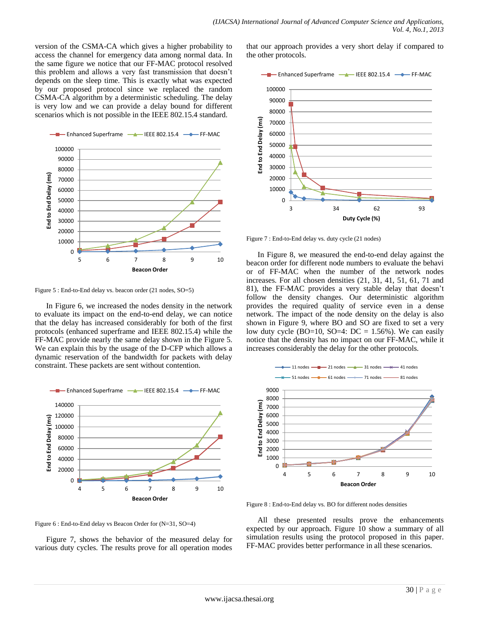version of the CSMA-CA which gives a higher probability to access the channel for emergency data among normal data. In the same figure we notice that our FF-MAC protocol resolved this problem and allows a very fast transmission that doesn't depends on the sleep time. This is exactly what was expected by our proposed protocol since we replaced the random CSMA-CA algorithm by a deterministic scheduling. The delay is very low and we can provide a delay bound for different scenarios which is not possible in the IEEE 802.15.4 standard.



<span id="page-5-0"></span>Figure 5 : End-to-End delay vs. beacon order (21 nodes, SO=5)

In [Figure 6,](#page-5-1) we increased the nodes density in the network to evaluate its impact on the end-to-end delay, we can notice that the delay has increased considerably for both of the first protocols (enhanced superframe and IEEE 802.15.4) while the FF-MAC provide nearly the same delay shown in the [Figure 5.](#page-5-0) We can explain this by the usage of the D-CFP which allows a dynamic reservation of the bandwidth for packets with delay constraint. These packets are sent without contention.



<span id="page-5-1"></span>Figure 6 : End-to-End delay vs Beacon Order for (N=31, SO=4)

[Figure 7,](#page-5-2) shows the behavior of the measured delay for various duty cycles. The results prove for all operation modes that our approach provides a very short delay if compared to the other protocols.



<span id="page-5-2"></span>Figure 7 : End-to-End delay vs. duty cycle (21 nodes)

In [Figure 8,](#page-5-3) we measured the end-to-end delay against the beacon order for different node numbers to evaluate the behavi or of FF-MAC when the number of the network nodes increases. For all chosen densities (21, 31, 41, 51, 61, 71 and 81), the FF-MAC provides a very stable delay that doesn't follow the density changes. Our deterministic algorithm provides the required quality of service even in a dense network. The impact of the node density on the delay is also shown in [Figure 9,](#page-6-0) where BO and SO are fixed to set a very low duty cycle (BO=10, SO=4: DC = 1.56%). We can easily notice that the density has no impact on our FF-MAC, while it increases considerably the delay for the other protocols.



<span id="page-5-3"></span>Figure 8 : End-to-End delay vs. BO for different nodes densities

All these presented results prove the enhancements expected by our approach. [Figure 10](#page-6-1) show a summary of all simulation results using the protocol proposed in this paper. FF-MAC provides better performance in all these scenarios.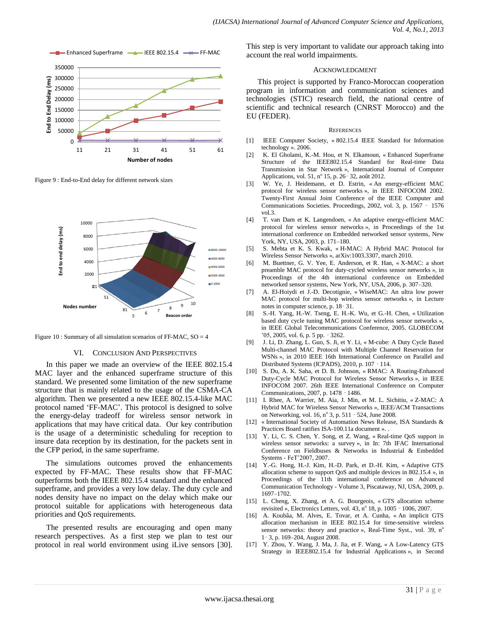

<span id="page-6-0"></span>Figure 9 : End-to-End delay for different network sizes



<span id="page-6-1"></span>Figure 10 : Summary of all simulation scenarios of FF-MAC,  $SO = 4$ 

#### VI. CONCLUSION AND PERSPECTIVES

In this paper we made an overview of the IEEE 802.15.4 MAC layer and the enhanced superframe structure of this standard. We presented some limitation of the new superframe structure that is mainly related to the usage of the CSMA-CA algorithm. Then we presented a new IEEE 802.15.4-like MAC protocol named 'FF-MAC'. This protocol is designed to solve the energy-delay tradeoff for wireless sensor network in applications that may have critical data. Our key contribution is the usage of a deterministic scheduling for reception to insure data reception by its destination, for the packets sent in the CFP period, in the same superframe.

The simulations outcomes proved the enhancements expected by FF-MAC. These results show that FF-MAC outperforms both the IEEE 802.15.4 standard and the enhanced superframe, and provides a very low delay. The duty cycle and nodes density have no impact on the delay which make our protocol suitable for applications with heterogeneous data priorities and QoS requirements.

The presented results are encouraging and open many research perspectives. As a first step we plan to test our protocol in real world environment using iLive sensors [30]. This step is very important to validate our approach taking into account the real world impairments.

#### ACKNOWLEDGMENT

This project is supported by Franco-Moroccan cooperation program in information and communication sciences and technologies (STIC) research field, the national centre of scientific and technical research (CNRST Morocco) and the EU (FEDER).

#### **REFERENCES**

- [1] IEEE Computer Society, « 802.15.4 IEEE Standard for Information technology ». 2006.
- [2] K. El Gholami, K.-M. Hou, et N. Elkamoun, « Enhanced Superframe Structure of the IEEE802.15.4 Standard for Real-time Data Transmission in Star Network », International Journal of Computer Applications, vol. 51, nº 15, p. 26 - 32, août 2012.
- [3] W. Ye, J. Heidemann, et D. Estrin, « An energy-efficient MAC protocol for wireless sensor networks », in IEEE INFOCOM 2002. Twenty-First Annual Joint Conference of the IEEE Computer and Communications Societies. Proceedings, 2002, vol. 3, p. 1567 ‑ 1576 vol.3.
- [4] T. van Dam et K. Langendoen, « An adaptive energy-efficient MAC protocol for wireless sensor networks », in Proceedings of the 1st international conference on Embedded networked sensor systems, New York, NY, USA, 2003, p. 171–180.
- [5] S. Mehta et K. S. Kwak, « H-MAC: A Hybrid MAC Protocol for Wireless Sensor Networks », arXiv:1003.3307, march 2010.
- [6] M. Buettner, G. V. Yee, E. Anderson, et R. Han, « X-MAC: a short preamble MAC protocol for duty-cycled wireless sensor networks », in Proceedings of the 4th international conference on Embedded networked sensor systems, New York, NY, USA, 2006, p. 307–320.
- [7] A. El-Hoiydi et J.-D. Decotignie, « WiseMAC: An ultra low power MAC protocol for multi-hop wireless sensor networks », in Lecture notes in computer science, p. 18‑ 31.
- [8] S.-H. Yang, H.-W. Tseng, E. H.-K. Wu, et G.-H. Chen, « Utilization based duty cycle tuning MAC protocol for wireless sensor networks », in IEEE Global Telecommunications Conference, 2005. GLOBECOM '05, 2005, vol. 6, p. 5 pp. ‑ 3262.
- [9] J. Li, D. Zhang, L. Guo, S. Ji, et Y. Li, « M-cube: A Duty Cycle Based Multi-channel MAC Protocol with Multiple Channel Reservation for WSNs », in 2010 IEEE 16th International Conference on Parallel and Distributed Systems (ICPADS), 2010, p. 107 ‑ 114.
- [10] S. Du, A. K. Saha, et D. B. Johnson, « RMAC: A Routing-Enhanced Duty-Cycle MAC Protocol for Wireless Sensor Networks », in IEEE INFOCOM 2007. 26th IEEE International Conference on Computer Communications, 2007, p. 1478 ‑ 1486.
- [11] I. Rhee, A. Warrier, M. Aia, J. Min, et M. L. Sichitiu, « Z-MAC: A Hybrid MAC for Wireless Sensor Networks », IEEE/ACM Transactions on Networking, vol. 16, nº 3, p. 511 - 524, June 2008.
- [12] « International Society of Automation News Release, ISA Standards & Practices Board ratifies ISA-100.11a document ». .
- [13] Y. Li, C. S. Chen, Y. Song, et Z. Wang, « Real-time QoS support in wireless sensor networks: a survey », in In: 7th IFAC International Conference on Fieldbuses & Networks in Industrial & Embedded Systems - FeT'2007, 2007.
- [14] Y.-G. Hong, H.-J. Kim, H.-D. Park, et D.-H. Kim, « Adaptive GTS allocation scheme to support QoS and multiple devices in 802.15.4 », in Proceedings of the 11th international conference on Advanced Communication Technology - Volume 3, Piscataway, NJ, USA, 2009, p. 1697–1702.
- [15] L. Cheng, X. Zhang, et A. G. Bourgeois, « GTS allocation scheme revisited », Electronics Letters, vol.  $43$ ,  $n^{\circ}$  18, p.  $1005 - 1006$ ,  $2007$ .
- [16] A. Koubâa, M. Alves, E. Tovar, et A. Cunha, « An implicit GTS allocation mechanism in IEEE 802.15.4 for time-sensitive wireless sensor networks: theory and practice », Real-Time Syst., vol. 39, n° 1‑ 3, p. 169–204, August 2008.
- [17] Y. Zhou, Y. Wang, J. Ma, J. Jia, et F. Wang, « A Low-Latency GTS Strategy in IEEE802.15.4 for Industrial Applications », in Second